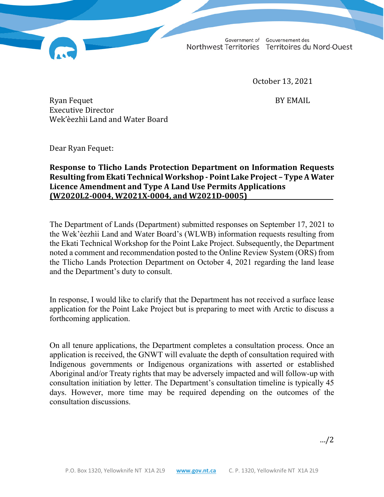Government of Gouvernement des Northwest Territories Territoires du Nord-Ouest

October 13, 2021

Ryan Fequet BY EMAIL Executive Director Wek'èezhìi Land and Water Board

Dear Ryan Fequet:

## **Response to Tlicho Lands Protection Department on Information Requests Resulting from Ekati Technical Workshop - Point Lake Project – Type A Water Licence Amendment and Type A Land Use Permits Applications (W2020L2-0004, W2021X-0004, and W2021D-0005)**

The Department of Lands (Department) submitted responses on September 17, 2021 to the Wek'èezhìi Land and Water Board's (WLWB) information requests resulting from the Ekati Technical Workshop for the Point Lake Project. Subsequently, the Department noted a comment and recommendation posted to the Online Review System (ORS) from the Tlicho Lands Protection Department on October 4, 2021 regarding the land lease and the Department's duty to consult.

In response, I would like to clarify that the Department has not received a surface lease application for the Point Lake Project but is preparing to meet with Arctic to discuss a forthcoming application.

On all tenure applications, the Department completes a consultation process. Once an application is received, the GNWT will evaluate the depth of consultation required with Indigenous governments or Indigenous organizations with asserted or established Aboriginal and/or Treaty rights that may be adversely impacted and will follow-up with consultation initiation by letter. The Department's consultation timeline is typically 45 days. However, more time may be required depending on the outcomes of the consultation discussions.

…/2